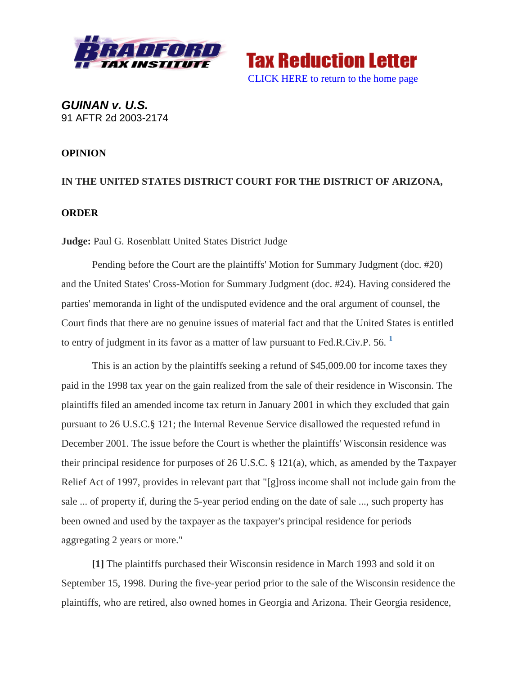

<span id="page-0-0"></span>**Tax Reduction Letter** [CLICK HERE to return to the home page](http://bradfordtaxinstitute.com/index1.aspx)

*GUINAN v. U.S.* 91 AFTR 2d 2003-2174

## **OPINION**

## **IN THE UNITED STATES DISTRICT COURT FOR THE DISTRICT OF ARIZONA, ORDER**

**Judge:** Paul G. Rosenblatt United States District Judge

Pending before the Court are the plaintiffs' Motion for Summary Judgment (doc. #20) and the United States' Cross-Motion for Summary Judgment (doc. #24). Having considered the parties' memoranda in light of the undisputed evidence and the oral argument of counsel, the Court finds that there are no genuine issues of material fact and that the United States is entitled to entry of judgment in its favor as a matter of law pursuant to Fed.R.Civ.P. 56. **[1](#page-3-0)** 

This is an action by the plaintiffs seeking a refund of \$45,009.00 for income taxes they paid in the 1998 tax year on the gain realized from the sale of their residence in Wisconsin. The plaintiffs filed an amended income tax return in January 2001 in which they excluded that gain pursuant to 26 U.S.C.§ 121; the Internal Revenue Service disallowed the requested refund in December 2001. The issue before the Court is whether the plaintiffs' Wisconsin residence was their principal residence for purposes of 26 U.S.C. § 121(a), which, as amended by the Taxpayer Relief Act of 1997, provides in relevant part that "[g]ross income shall not include gain from the sale ... of property if, during the 5-year period ending on the date of sale ..., such property has been owned and used by the taxpayer as the taxpayer's principal residence for periods aggregating 2 years or more."

**[1]** The plaintiffs purchased their Wisconsin residence in March 1993 and sold it on September 15, 1998. During the five-year period prior to the sale of the Wisconsin residence the plaintiffs, who are retired, also owned homes in Georgia and Arizona. Their Georgia residence,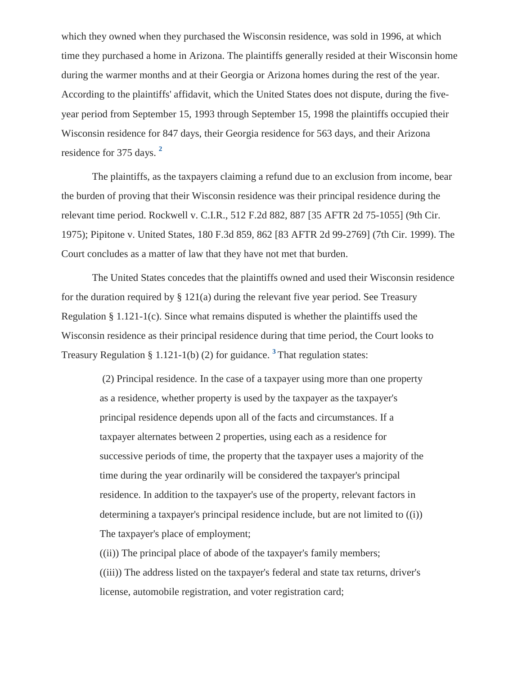which they owned when they purchased the Wisconsin residence, was sold in 1996, at which time they purchased a home in Arizona. The plaintiffs generally resided at their Wisconsin home during the warmer months and at their Georgia or Arizona homes during the rest of the year. According to the plaintiffs' affidavit, which the United States does not dispute, during the fiveyear period from September 15, 1993 through September 15, 1998 the plaintiffs occupied their Wisconsin residence for 847 days, their Georgia residence for 563 days, and their Arizona residence for 375 days. **[2](#page-4-0)** 

<span id="page-1-0"></span>The plaintiffs, as the taxpayers claiming a refund due to an exclusion from income, bear the burden of proving that their Wisconsin residence was their principal residence during the relevant time period. Rockwell v. C.I.R., 512 F.2d 882, 887 [35 AFTR 2d 75-1055] (9th Cir. 1975); Pipitone v. United States, 180 F.3d 859, 862 [83 AFTR 2d 99-2769] (7th Cir. 1999). The Court concludes as a matter of law that they have not met that burden.

The United States concedes that the plaintiffs owned and used their Wisconsin residence for the duration required by  $\S 121(a)$  during the relevant five year period. See Treasury Regulation § 1.121-1(c). Since what remains disputed is whether the plaintiffs used the Wisconsin residence as their principal residence during that time period, the Court looks to Treasury Regulation § 1.121-1(b) (2) for guidance. **[3](#page-4-1)** That regulation states:

<span id="page-1-1"></span>(2) Principal residence. In the case of a taxpayer using more than one property as a residence, whether property is used by the taxpayer as the taxpayer's principal residence depends upon all of the facts and circumstances. If a taxpayer alternates between 2 properties, using each as a residence for successive periods of time, the property that the taxpayer uses a majority of the time during the year ordinarily will be considered the taxpayer's principal residence. In addition to the taxpayer's use of the property, relevant factors in determining a taxpayer's principal residence include, but are not limited to ((i)) The taxpayer's place of employment;

((ii)) The principal place of abode of the taxpayer's family members; ((iii)) The address listed on the taxpayer's federal and state tax returns, driver's license, automobile registration, and voter registration card;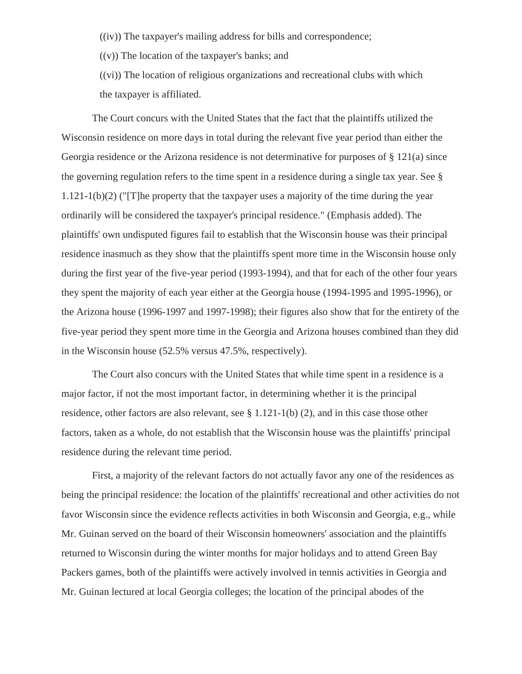((iv)) The taxpayer's mailing address for bills and correspondence;

 $((v))$  The location of the taxpayer's banks; and

((vi)) The location of religious organizations and recreational clubs with which the taxpayer is affiliated.

The Court concurs with the United States that the fact that the plaintiffs utilized the Wisconsin residence on more days in total during the relevant five year period than either the Georgia residence or the Arizona residence is not determinative for purposes of § 121(a) since the governing regulation refers to the time spent in a residence during a single tax year. See § 1.121-1(b)(2) ("[T]he property that the taxpayer uses a majority of the time during the year ordinarily will be considered the taxpayer's principal residence." (Emphasis added). The plaintiffs' own undisputed figures fail to establish that the Wisconsin house was their principal residence inasmuch as they show that the plaintiffs spent more time in the Wisconsin house only during the first year of the five-year period (1993-1994), and that for each of the other four years they spent the majority of each year either at the Georgia house (1994-1995 and 1995-1996), or the Arizona house (1996-1997 and 1997-1998); their figures also show that for the entirety of the five-year period they spent more time in the Georgia and Arizona houses combined than they did in the Wisconsin house (52.5% versus 47.5%, respectively).

The Court also concurs with the United States that while time spent in a residence is a major factor, if not the most important factor, in determining whether it is the principal residence, other factors are also relevant, see § 1.121-1(b) (2), and in this case those other factors, taken as a whole, do not establish that the Wisconsin house was the plaintiffs' principal residence during the relevant time period.

First, a majority of the relevant factors do not actually favor any one of the residences as being the principal residence: the location of the plaintiffs' recreational and other activities do not favor Wisconsin since the evidence reflects activities in both Wisconsin and Georgia, e.g., while Mr. Guinan served on the board of their Wisconsin homeowners' association and the plaintiffs returned to Wisconsin during the winter months for major holidays and to attend Green Bay Packers games, both of the plaintiffs were actively involved in tennis activities in Georgia and Mr. Guinan lectured at local Georgia colleges; the location of the principal abodes of the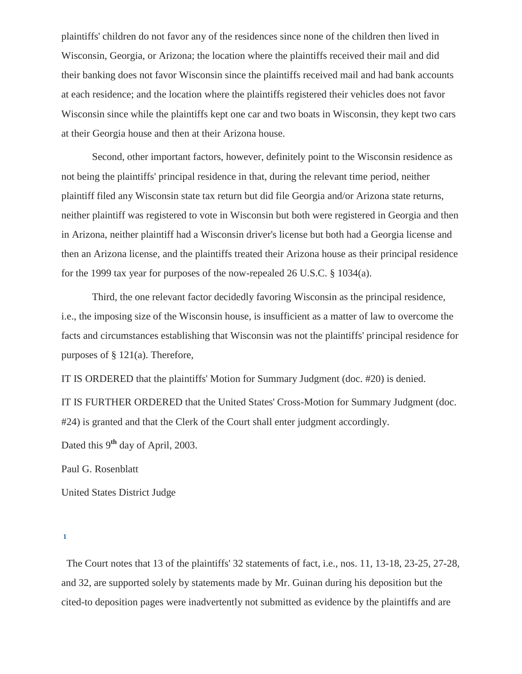plaintiffs' children do not favor any of the residences since none of the children then lived in Wisconsin, Georgia, or Arizona; the location where the plaintiffs received their mail and did their banking does not favor Wisconsin since the plaintiffs received mail and had bank accounts at each residence; and the location where the plaintiffs registered their vehicles does not favor Wisconsin since while the plaintiffs kept one car and two boats in Wisconsin, they kept two cars at their Georgia house and then at their Arizona house.

Second, other important factors, however, definitely point to the Wisconsin residence as not being the plaintiffs' principal residence in that, during the relevant time period, neither plaintiff filed any Wisconsin state tax return but did file Georgia and/or Arizona state returns, neither plaintiff was registered to vote in Wisconsin but both were registered in Georgia and then in Arizona, neither plaintiff had a Wisconsin driver's license but both had a Georgia license and then an Arizona license, and the plaintiffs treated their Arizona house as their principal residence for the 1999 tax year for purposes of the now-repealed 26 U.S.C. § 1034(a).

Third, the one relevant factor decidedly favoring Wisconsin as the principal residence, i.e., the imposing size of the Wisconsin house, is insufficient as a matter of law to overcome the facts and circumstances establishing that Wisconsin was not the plaintiffs' principal residence for purposes of § 121(a). Therefore,

IT IS ORDERED that the plaintiffs' Motion for Summary Judgment (doc. #20) is denied.

IT IS FURTHER ORDERED that the United States' Cross-Motion for Summary Judgment (doc. #24) is granted and that the Clerk of the Court shall enter judgment accordingly.

Dated this 9**th** day of April, 2003.

Paul G. Rosenblatt

United States District Judge

<span id="page-3-0"></span>**[1](#page-0-0)** 

 The Court notes that 13 of the plaintiffs' 32 statements of fact, i.e., nos. 11, 13-18, 23-25, 27-28, and 32, are supported solely by statements made by Mr. Guinan during his deposition but the cited-to deposition pages were inadvertently not submitted as evidence by the plaintiffs and are